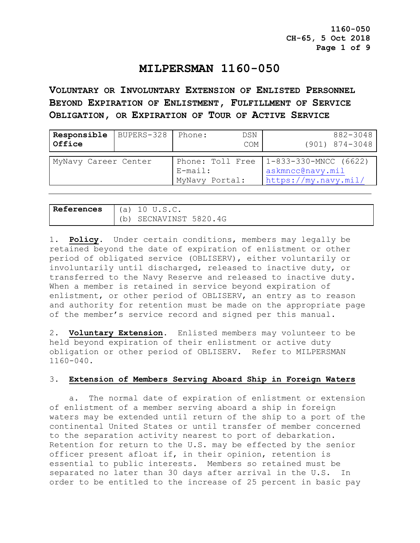# **MILPERSMAN 1160-050**

**VOLUNTARY OR INVOLUNTARY EXTENSION OF ENLISTED PERSONNEL BEYOND EXPIRATION OF ENLISTMENT, FULFILLMENT OF SERVICE OBLIGATION, OR EXPIRATION OF TOUR OF ACTIVE SERVICE**

| Responsible<br>Office | BUPERS-328 Phone: |                                                  | DSN<br>COM | 882-3048<br>$(901)$ $874 - 3048$                                    |
|-----------------------|-------------------|--------------------------------------------------|------------|---------------------------------------------------------------------|
| MyNavy Career Center  |                   | Phone: Toll Free<br>$E$ -mail:<br>MyNavy Portal: |            | $1-833-330-MNCC$ (6622)<br>askmncc@navy.mil<br>https://my.navy.mil/ |

| References | (a) | $^{\prime\prime}$ U.S.C. |
|------------|-----|--------------------------|
|            | b   | SECNAVINST 5820.4G       |

1. **Policy**. Under certain conditions, members may legally be retained beyond the date of expiration of enlistment or other period of obligated service (OBLISERV), either voluntarily or involuntarily until discharged, released to inactive duty, or transferred to the Navy Reserve and released to inactive duty. When a member is retained in service beyond expiration of enlistment, or other period of OBLISERV, an entry as to reason and authority for retention must be made on the appropriate page of the member's service record and signed per this manual.

2. **Voluntary Extension**. Enlisted members may volunteer to be held beyond expiration of their enlistment or active duty obligation or other period of OBLISERV. Refer to MILPERSMAN 1160-040.

## 3. **Extension of Members Serving Aboard Ship in Foreign Waters**

 a. The normal date of expiration of enlistment or extension of enlistment of a member serving aboard a ship in foreign waters may be extended until return of the ship to a port of the continental United States or until transfer of member concerned to the separation activity nearest to port of debarkation. Retention for return to the U.S. may be effected by the senior officer present afloat if, in their opinion, retention is essential to public interests. Members so retained must be separated no later than 30 days after arrival in the U.S. In order to be entitled to the increase of 25 percent in basic pay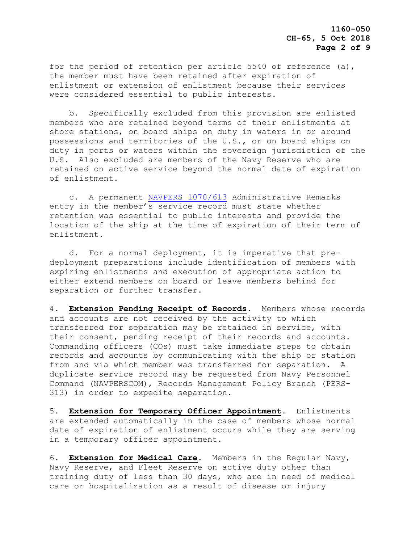for the period of retention per article 5540 of reference (a), the member must have been retained after expiration of enlistment or extension of enlistment because their services were considered essential to public interests.

 b. Specifically excluded from this provision are enlisted members who are retained beyond terms of their enlistments at shore stations, on board ships on duty in waters in or around possessions and territories of the U.S., or on board ships on duty in ports or waters within the sovereign jurisdiction of the U.S. Also excluded are members of the Navy Reserve who are retained on active service beyond the normal date of expiration of enlistment.

 c. A permanent [NAVPERS 1070/613](https://www.mynavyhr.navy.mil/Portals/55/Reference/Forms/NAVPERS/NAVPERS_1070-613_Rev08-12.pdf?ver=sJZzuypEPsMb9rUzfv3uuQ%3d%3d) Administrative Remarks entry in the member's service record must state whether retention was essential to public interests and provide the location of the ship at the time of expiration of their term of enlistment.

 d. For a normal deployment, it is imperative that predeployment preparations include identification of members with expiring enlistments and execution of appropriate action to either extend members on board or leave members behind for separation or further transfer.

4. **Extension Pending Receipt of Records**. Members whose records and accounts are not received by the activity to which transferred for separation may be retained in service, with their consent, pending receipt of their records and accounts. Commanding officers (COs) must take immediate steps to obtain records and accounts by communicating with the ship or station from and via which member was transferred for separation. A duplicate service record may be requested from Navy Personnel Command (NAVPERSCOM), Records Management Policy Branch (PERS-313) in order to expedite separation.

5. **Extension for Temporary Officer Appointment**. Enlistments are extended automatically in the case of members whose normal date of expiration of enlistment occurs while they are serving in a temporary officer appointment.

6. **Extension for Medical Care**. Members in the Regular Navy, Navy Reserve, and Fleet Reserve on active duty other than training duty of less than 30 days, who are in need of medical care or hospitalization as a result of disease or injury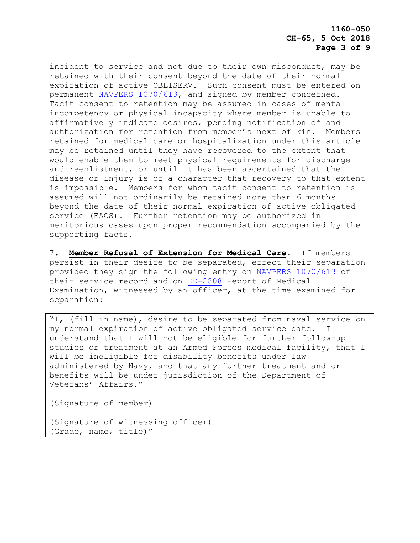**1160-050 CH-65, 5 Oct 2018 Page 3 of 9**

incident to service and not due to their own misconduct, may be retained with their consent beyond the date of their normal expiration of active OBLISERV. Such consent must be entered on permanent [NAVPERS 1070/613,](https://www.mynavyhr.navy.mil/Portals/55/Reference/Forms/NAVPERS/NAVPERS_1070-613_Rev08-12.pdf?ver=sJZzuypEPsMb9rUzfv3uuQ%3d%3d) and signed by member concerned. Tacit consent to retention may be assumed in cases of mental incompetency or physical incapacity where member is unable to affirmatively indicate desires, pending notification of and authorization for retention from member's next of kin. Members retained for medical care or hospitalization under this article may be retained until they have recovered to the extent that would enable them to meet physical requirements for discharge and reenlistment, or until it has been ascertained that the disease or injury is of a character that recovery to that extent is impossible. Members for whom tacit consent to retention is assumed will not ordinarily be retained more than 6 months beyond the date of their normal expiration of active obligated service (EAOS). Further retention may be authorized in meritorious cases upon proper recommendation accompanied by the supporting facts.

7. **Member Refusal of Extension for Medical Care**. If members persist in their desire to be separated, effect their separation provided they sign the following entry on NAVPERS [1070/613](https://www.mynavyhr.navy.mil/Portals/55/Reference/Forms/NAVPERS/NAVPERS_1070-613_Rev08-12.pdf?ver=sJZzuypEPsMb9rUzfv3uuQ%3d%3d) of their service record and on [DD-2808](http://www.esd.whs.mil/Directives/forms/dd2500_2999/) Report of Medical Examination, witnessed by an officer, at the time examined for separation:

"I, (fill in name), desire to be separated from naval service on my normal expiration of active obligated service date. I understand that I will not be eligible for further follow-up studies or treatment at an Armed Forces medical facility, that I will be ineligible for disability benefits under law administered by Navy, and that any further treatment and or benefits will be under jurisdiction of the Department of Veterans' Affairs."

(Signature of member)

(Signature of witnessing officer) (Grade, name, title)"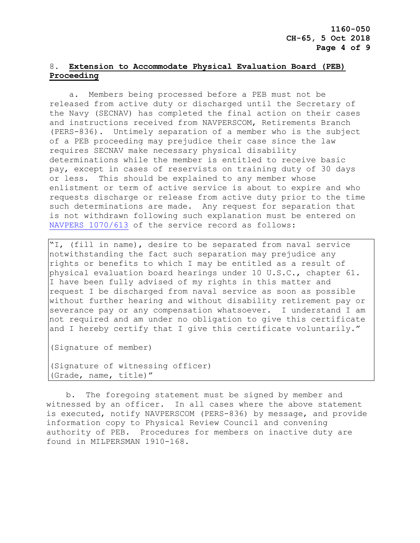## 8. **Extension to Accommodate Physical Evaluation Board (PEB) Proceeding**

 a. Members being processed before a PEB must not be released from active duty or discharged until the Secretary of the Navy (SECNAV) has completed the final action on their cases and instructions received from NAVPERSCOM, Retirements Branch (PERS-836). Untimely separation of a member who is the subject of a PEB proceeding may prejudice their case since the law requires SECNAV make necessary physical disability determinations while the member is entitled to receive basic pay, except in cases of reservists on training duty of 30 days or less. This should be explained to any member whose enlistment or term of active service is about to expire and who requests discharge or release from active duty prior to the time such determinations are made. Any request for separation that is not withdrawn following such explanation must be entered on [NAVPERS 1070/613](https://www.mynavyhr.navy.mil/Portals/55/Reference/Forms/NAVPERS/NAVPERS_1070-613_Rev08-12.pdf?ver=sJZzuypEPsMb9rUzfv3uuQ%3d%3d) of the service record as follows:

"I, (fill in name), desire to be separated from naval service notwithstanding the fact such separation may prejudice any rights or benefits to which I may be entitled as a result of physical evaluation board hearings under 10 U.S.C., chapter 61. I have been fully advised of my rights in this matter and request I be discharged from naval service as soon as possible without further hearing and without disability retirement pay or severance pay or any compensation whatsoever. I understand I am not required and am under no obligation to give this certificate and I hereby certify that I give this certificate voluntarily."

(Signature of member)

(Signature of witnessing officer) (Grade, name, title)"

 b. The foregoing statement must be signed by member and witnessed by an officer. In all cases where the above statement is executed, notify NAVPERSCOM (PERS-836) by message, and provide information copy to Physical Review Council and convening authority of PEB. Procedures for members on inactive duty are found in MILPERSMAN 1910-168.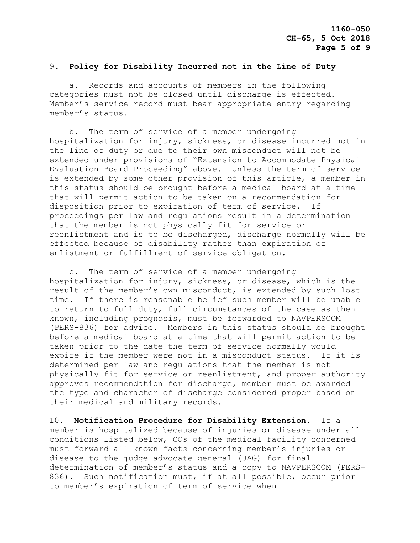#### 9. **Policy for Disability Incurred not in the Line of Duty**

 a. Records and accounts of members in the following categories must not be closed until discharge is effected. Member's service record must bear appropriate entry regarding member's status.

 b. The term of service of a member undergoing hospitalization for injury, sickness, or disease incurred not in the line of duty or due to their own misconduct will not be extended under provisions of "Extension to Accommodate Physical Evaluation Board Proceeding" above. Unless the term of service is extended by some other provision of this article, a member in this status should be brought before a medical board at a time that will permit action to be taken on a recommendation for disposition prior to expiration of term of service. If proceedings per law and regulations result in a determination that the member is not physically fit for service or reenlistment and is to be discharged, discharge normally will be effected because of disability rather than expiration of enlistment or fulfillment of service obligation.

 c. The term of service of a member undergoing hospitalization for injury, sickness, or disease, which is the result of the member's own misconduct, is extended by such lost time. If there is reasonable belief such member will be unable to return to full duty, full circumstances of the case as then known, including prognosis, must be forwarded to NAVPERSCOM (PERS-836) for advice. Members in this status should be brought before a medical board at a time that will permit action to be taken prior to the date the term of service normally would expire if the member were not in a misconduct status. If it is determined per law and regulations that the member is not physically fit for service or reenlistment, and proper authority approves recommendation for discharge, member must be awarded the type and character of discharge considered proper based on their medical and military records.

10. **Notification Procedure for Disability Extension**. If a member is hospitalized because of injuries or disease under all conditions listed below, COs of the medical facility concerned must forward all known facts concerning member's injuries or disease to the judge advocate general (JAG) for final determination of member's status and a copy to NAVPERSCOM (PERS-836). Such notification must, if at all possible, occur prior to member's expiration of term of service when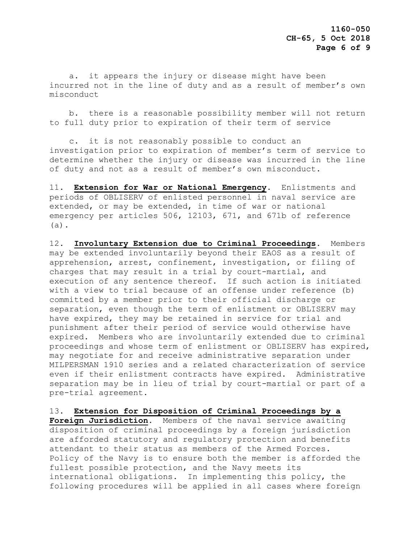a. it appears the injury or disease might have been incurred not in the line of duty and as a result of member's own misconduct

 b. there is a reasonable possibility member will not return to full duty prior to expiration of their term of service

 c. it is not reasonably possible to conduct an investigation prior to expiration of member's term of service to determine whether the injury or disease was incurred in the line of duty and not as a result of member's own misconduct.

11**. Extension for War or National Emergency**. Enlistments and periods of OBLISERV of enlisted personnel in naval service are extended, or may be extended, in time of war or national emergency per articles 506, 12103, 671, and 671b of reference (a).

12. **Involuntary Extension due to Criminal Proceedings**. Members may be extended involuntarily beyond their EAOS as a result of apprehension, arrest, confinement, investigation, or filing of charges that may result in a trial by court-martial, and execution of any sentence thereof. If such action is initiated with a view to trial because of an offense under reference (b) committed by a member prior to their official discharge or separation, even though the term of enlistment or OBLISERV may have expired, they may be retained in service for trial and punishment after their period of service would otherwise have expired. Members who are involuntarily extended due to criminal proceedings and whose term of enlistment or OBLISERV has expired, may negotiate for and receive administrative separation under MILPERSMAN 1910 series and a related characterization of service even if their enlistment contracts have expired. Administrative separation may be in lieu of trial by court-martial or part of a pre-trial agreement.

13. **Extension for Disposition of Criminal Proceedings by a Foreign Jurisdiction**. Members of the naval service awaiting disposition of criminal proceedings by a foreign jurisdiction are afforded statutory and regulatory protection and benefits attendant to their status as members of the Armed Forces. Policy of the Navy is to ensure both the member is afforded the fullest possible protection, and the Navy meets its international obligations. In implementing this policy, the following procedures will be applied in all cases where foreign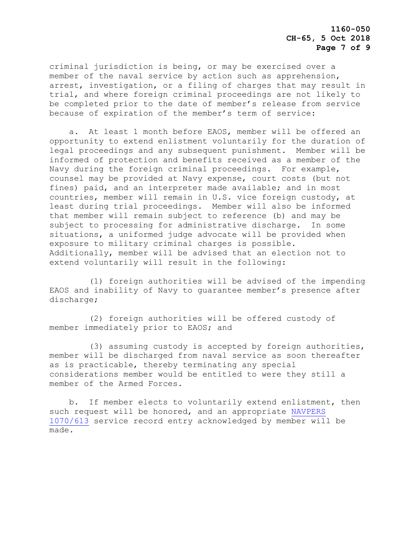criminal jurisdiction is being, or may be exercised over a member of the naval service by action such as apprehension, arrest, investigation, or a filing of charges that may result in trial, and where foreign criminal proceedings are not likely to be completed prior to the date of member's release from service because of expiration of the member's term of service:

 a. At least 1 month before EAOS, member will be offered an opportunity to extend enlistment voluntarily for the duration of legal proceedings and any subsequent punishment. Member will be informed of protection and benefits received as a member of the Navy during the foreign criminal proceedings. For example, counsel may be provided at Navy expense, court costs (but not fines) paid, and an interpreter made available; and in most countries, member will remain in U.S. vice foreign custody, at least during trial proceedings. Member will also be informed that member will remain subject to reference (b) and may be subject to processing for administrative discharge. In some situations, a uniformed judge advocate will be provided when exposure to military criminal charges is possible. Additionally, member will be advised that an election not to extend voluntarily will result in the following:

 (1) foreign authorities will be advised of the impending EAOS and inability of Navy to guarantee member's presence after discharge;

 (2) foreign authorities will be offered custody of member immediately prior to EAOS; and

 (3) assuming custody is accepted by foreign authorities, member will be discharged from naval service as soon thereafter as is practicable, thereby terminating any special considerations member would be entitled to were they still a member of the Armed Forces.

 b. If member elects to voluntarily extend enlistment, then such request will be honored, and an appropriate [NAVPERS](https://www.mynavyhr.navy.mil/Portals/55/Reference/Forms/NAVPERS/NAVPERS_1070-613_Rev08-12.pdf?ver=sJZzuypEPsMb9rUzfv3uuQ%3d%3d)  [1070/613](https://www.mynavyhr.navy.mil/Portals/55/Reference/Forms/NAVPERS/NAVPERS_1070-613_Rev08-12.pdf?ver=sJZzuypEPsMb9rUzfv3uuQ%3d%3d) service record entry acknowledged by member will be made.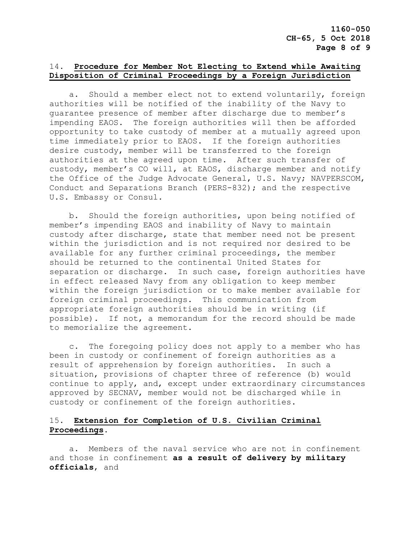# 14. **Procedure for Member Not Electing to Extend while Awaiting Disposition of Criminal Proceedings by a Foreign Jurisdiction**

 a. Should a member elect not to extend voluntarily, foreign authorities will be notified of the inability of the Navy to guarantee presence of member after discharge due to member's impending EAOS. The foreign authorities will then be afforded opportunity to take custody of member at a mutually agreed upon time immediately prior to EAOS. If the foreign authorities desire custody, member will be transferred to the foreign authorities at the agreed upon time. After such transfer of custody, member's CO will, at EAOS, discharge member and notify the Office of the Judge Advocate General, U.S. Navy; NAVPERSCOM, Conduct and Separations Branch (PERS-832); and the respective U.S. Embassy or Consul.

 b. Should the foreign authorities, upon being notified of member's impending EAOS and inability of Navy to maintain custody after discharge, state that member need not be present within the jurisdiction and is not required nor desired to be available for any further criminal proceedings, the member should be returned to the continental United States for separation or discharge. In such case, foreign authorities have in effect released Navy from any obligation to keep member within the foreign jurisdiction or to make member available for foreign criminal proceedings. This communication from appropriate foreign authorities should be in writing (if possible). If not, a memorandum for the record should be made to memorialize the agreement.

 c. The foregoing policy does not apply to a member who has been in custody or confinement of foreign authorities as a result of apprehension by foreign authorities. In such a situation, provisions of chapter three of reference (b) would continue to apply, and, except under extraordinary circumstances approved by SECNAV, member would not be discharged while in custody or confinement of the foreign authorities.

# 15. **Extension for Completion of U**.**S**. **Civilian Criminal Proceedings**.

 a. Members of the naval service who are not in confinement and those in confinement **as a result of delivery by military officials**, and